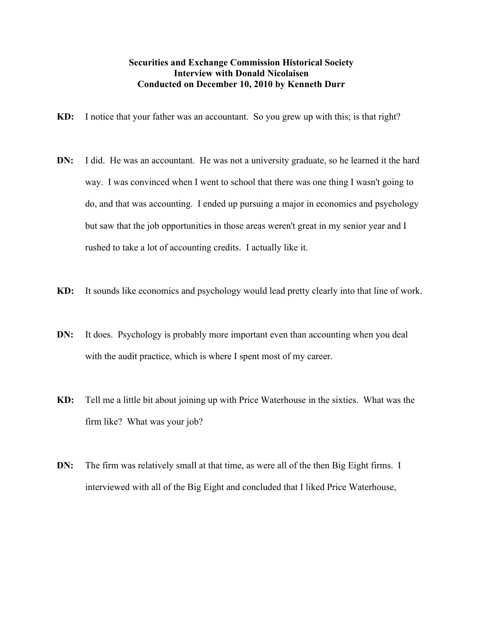## Securities and Exchange Commission Historical Society Interview with Donald Nicolaisen Conducted on December 10, 2010 by Kenneth Durr

- KD: I notice that your father was an accountant. So you grew up with this; is that right?
- DN: I did. He was an accountant. He was not a university graduate, so he learned it the hard way. I was convinced when I went to school that there was one thing I wasn't going to do, and that was accounting. I ended up pursuing a major in economics and psychology but saw that the job opportunities in those areas weren't great in my senior year and I rushed to take a lot of accounting credits. I actually like it.
- KD: It sounds like economics and psychology would lead pretty clearly into that line of work.
- DN: It does. Psychology is probably more important even than accounting when you deal with the audit practice, which is where I spent most of my career.
- KD: Tell me a little bit about joining up with Price Waterhouse in the sixties. What was the firm like? What was your job?
- DN: The firm was relatively small at that time, as were all of the then Big Eight firms. I interviewed with all of the Big Eight and concluded that I liked Price Waterhouse,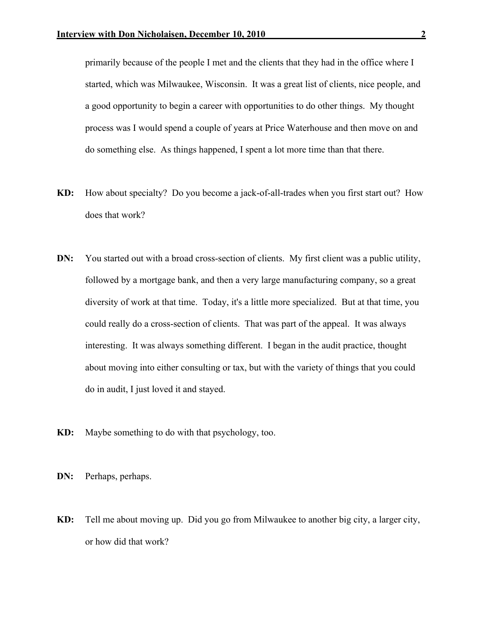primarily because of the people I met and the clients that they had in the office where I started, which was Milwaukee, Wisconsin. It was a great list of clients, nice people, and a good opportunity to begin a career with opportunities to do other things. My thought process was I would spend a couple of years at Price Waterhouse and then move on and do something else. As things happened, I spent a lot more time than that there.

- KD: How about specialty? Do you become a jack-of-all-trades when you first start out? How does that work?
- DN: You started out with a broad cross-section of clients. My first client was a public utility, followed by a mortgage bank, and then a very large manufacturing company, so a great diversity of work at that time. Today, it's a little more specialized. But at that time, you could really do a cross-section of clients. That was part of the appeal. It was always interesting. It was always something different. I began in the audit practice, thought about moving into either consulting or tax, but with the variety of things that you could do in audit, I just loved it and stayed.
- KD: Maybe something to do with that psychology, too.
- DN: Perhaps, perhaps.
- KD: Tell me about moving up. Did you go from Milwaukee to another big city, a larger city, or how did that work?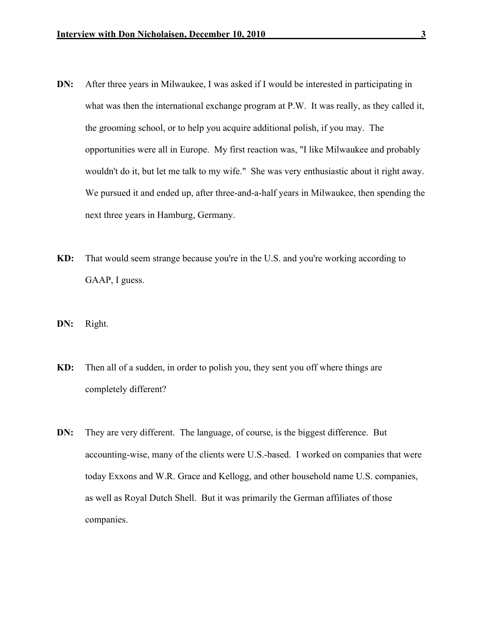- DN: After three years in Milwaukee, I was asked if I would be interested in participating in what was then the international exchange program at P.W. It was really, as they called it, the grooming school, or to help you acquire additional polish, if you may. The opportunities were all in Europe. My first reaction was, "I like Milwaukee and probably wouldn't do it, but let me talk to my wife." She was very enthusiastic about it right away. We pursued it and ended up, after three-and-a-half years in Milwaukee, then spending the next three years in Hamburg, Germany.
- KD: That would seem strange because you're in the U.S. and you're working according to GAAP, I guess.
- DN: Right.
- KD: Then all of a sudden, in order to polish you, they sent you off where things are completely different?
- DN: They are very different. The language, of course, is the biggest difference. But accounting-wise, many of the clients were U.S.-based. I worked on companies that were today Exxons and W.R. Grace and Kellogg, and other household name U.S. companies, as well as Royal Dutch Shell. But it was primarily the German affiliates of those companies.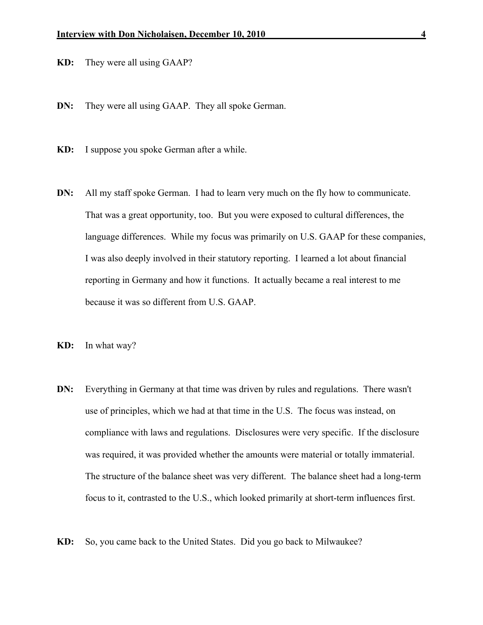KD: They were all using GAAP?

- DN: They were all using GAAP. They all spoke German.
- KD: I suppose you spoke German after a while.
- DN: All my staff spoke German. I had to learn very much on the fly how to communicate. That was a great opportunity, too. But you were exposed to cultural differences, the language differences. While my focus was primarily on U.S. GAAP for these companies, I was also deeply involved in their statutory reporting. I learned a lot about financial reporting in Germany and how it functions. It actually became a real interest to me because it was so different from U.S. GAAP.
- KD: In what way?
- DN: Everything in Germany at that time was driven by rules and regulations. There wasn't use of principles, which we had at that time in the U.S. The focus was instead, on compliance with laws and regulations. Disclosures were very specific. If the disclosure was required, it was provided whether the amounts were material or totally immaterial. The structure of the balance sheet was very different. The balance sheet had a long-term focus to it, contrasted to the U.S., which looked primarily at short-term influences first.
- KD: So, you came back to the United States. Did you go back to Milwaukee?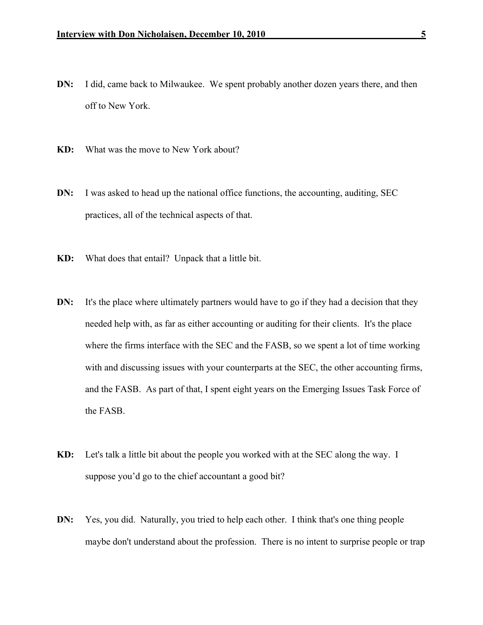- DN: I did, came back to Milwaukee. We spent probably another dozen years there, and then off to New York.
- KD: What was the move to New York about?
- DN: I was asked to head up the national office functions, the accounting, auditing, SEC practices, all of the technical aspects of that.
- KD: What does that entail? Unpack that a little bit.
- DN: It's the place where ultimately partners would have to go if they had a decision that they needed help with, as far as either accounting or auditing for their clients. It's the place where the firms interface with the SEC and the FASB, so we spent a lot of time working with and discussing issues with your counterparts at the SEC, the other accounting firms, and the FASB. As part of that, I spent eight years on the Emerging Issues Task Force of the FASB.
- KD: Let's talk a little bit about the people you worked with at the SEC along the way. I suppose you'd go to the chief accountant a good bit?
- DN: Yes, you did. Naturally, you tried to help each other. I think that's one thing people maybe don't understand about the profession. There is no intent to surprise people or trap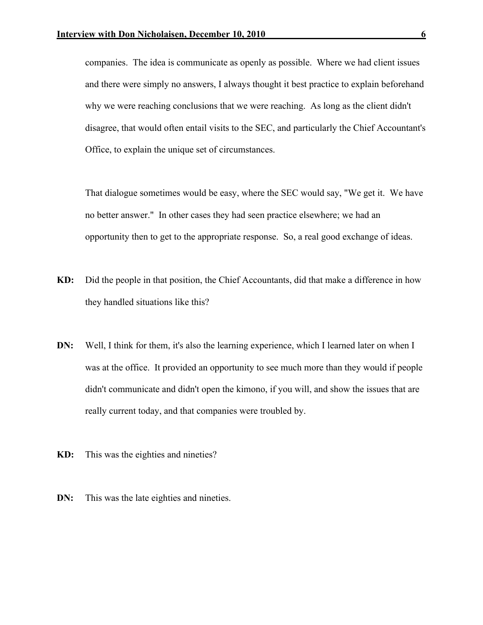companies. The idea is communicate as openly as possible. Where we had client issues and there were simply no answers, I always thought it best practice to explain beforehand why we were reaching conclusions that we were reaching. As long as the client didn't disagree, that would often entail visits to the SEC, and particularly the Chief Accountant's Office, to explain the unique set of circumstances.

That dialogue sometimes would be easy, where the SEC would say, "We get it. We have no better answer." In other cases they had seen practice elsewhere; we had an opportunity then to get to the appropriate response. So, a real good exchange of ideas.

- KD: Did the people in that position, the Chief Accountants, did that make a difference in how they handled situations like this?
- DN: Well, I think for them, it's also the learning experience, which I learned later on when I was at the office. It provided an opportunity to see much more than they would if people didn't communicate and didn't open the kimono, if you will, and show the issues that are really current today, and that companies were troubled by.
- KD: This was the eighties and nineties?
- **DN:** This was the late eighties and nineties.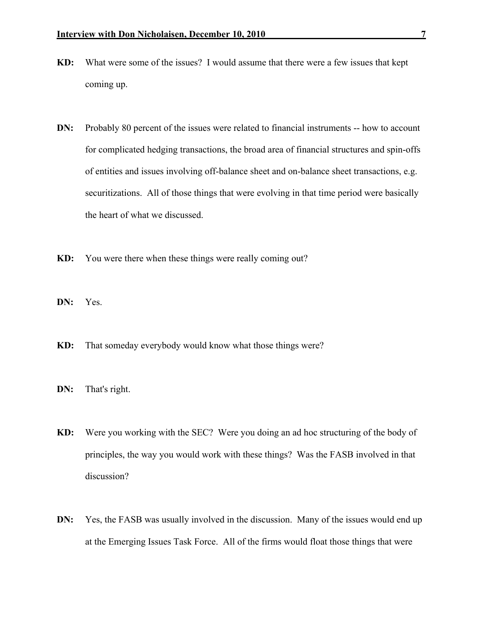- KD: What were some of the issues? I would assume that there were a few issues that kept coming up.
- DN: Probably 80 percent of the issues were related to financial instruments -- how to account for complicated hedging transactions, the broad area of financial structures and spin-offs of entities and issues involving off-balance sheet and on-balance sheet transactions, e.g. securitizations. All of those things that were evolving in that time period were basically the heart of what we discussed.
- KD: You were there when these things were really coming out?
- DN: Yes.
- KD: That someday everybody would know what those things were?
- DN: That's right.
- KD: Were you working with the SEC? Were you doing an ad hoc structuring of the body of principles, the way you would work with these things? Was the FASB involved in that discussion?
- DN: Yes, the FASB was usually involved in the discussion. Many of the issues would end up at the Emerging Issues Task Force. All of the firms would float those things that were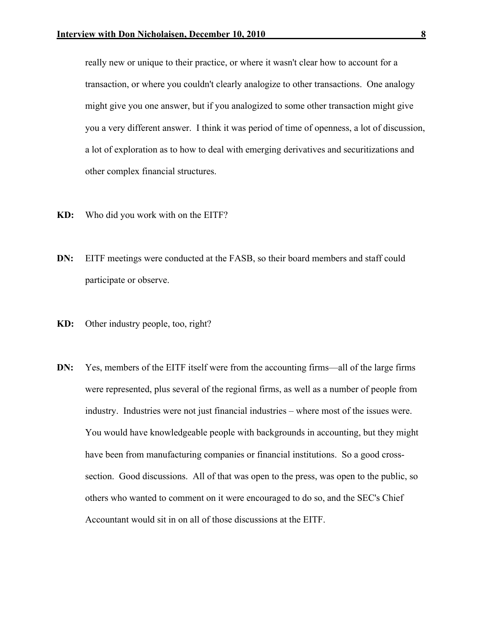really new or unique to their practice, or where it wasn't clear how to account for a transaction, or where you couldn't clearly analogize to other transactions. One analogy might give you one answer, but if you analogized to some other transaction might give you a very different answer. I think it was period of time of openness, a lot of discussion, a lot of exploration as to how to deal with emerging derivatives and securitizations and other complex financial structures.

- KD: Who did you work with on the EITF?
- DN: EITF meetings were conducted at the FASB, so their board members and staff could participate or observe.
- KD: Other industry people, too, right?
- DN: Yes, members of the EITF itself were from the accounting firms—all of the large firms were represented, plus several of the regional firms, as well as a number of people from industry. Industries were not just financial industries – where most of the issues were. You would have knowledgeable people with backgrounds in accounting, but they might have been from manufacturing companies or financial institutions. So a good crosssection. Good discussions. All of that was open to the press, was open to the public, so others who wanted to comment on it were encouraged to do so, and the SEC's Chief Accountant would sit in on all of those discussions at the EITF.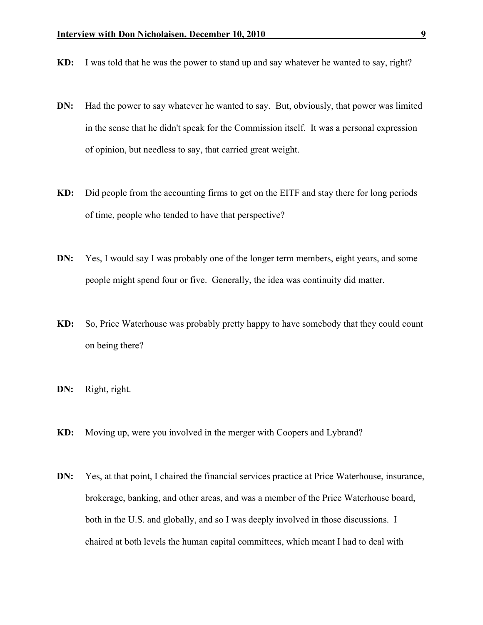- KD: I was told that he was the power to stand up and say whatever he wanted to say, right?
- DN: Had the power to say whatever he wanted to say. But, obviously, that power was limited in the sense that he didn't speak for the Commission itself. It was a personal expression of opinion, but needless to say, that carried great weight.
- KD: Did people from the accounting firms to get on the EITF and stay there for long periods of time, people who tended to have that perspective?
- DN: Yes, I would say I was probably one of the longer term members, eight years, and some people might spend four or five. Generally, the idea was continuity did matter.
- KD: So, Price Waterhouse was probably pretty happy to have somebody that they could count on being there?
- DN: Right, right.
- KD: Moving up, were you involved in the merger with Coopers and Lybrand?
- DN: Yes, at that point, I chaired the financial services practice at Price Waterhouse, insurance, brokerage, banking, and other areas, and was a member of the Price Waterhouse board, both in the U.S. and globally, and so I was deeply involved in those discussions. I chaired at both levels the human capital committees, which meant I had to deal with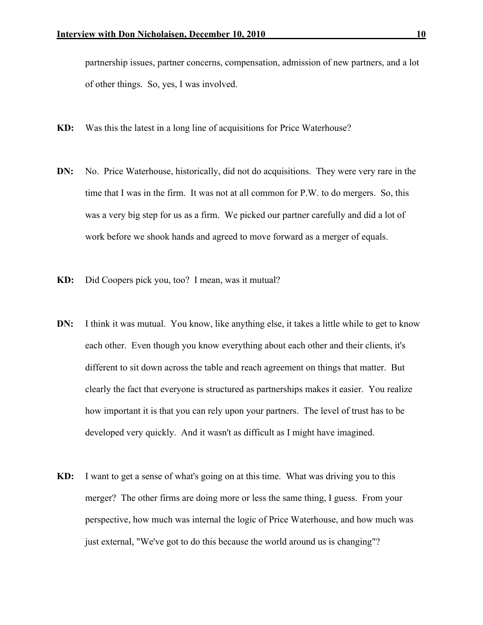partnership issues, partner concerns, compensation, admission of new partners, and a lot of other things. So, yes, I was involved.

- KD: Was this the latest in a long line of acquisitions for Price Waterhouse?
- DN: No. Price Waterhouse, historically, did not do acquisitions. They were very rare in the time that I was in the firm. It was not at all common for P.W. to do mergers. So, this was a very big step for us as a firm. We picked our partner carefully and did a lot of work before we shook hands and agreed to move forward as a merger of equals.
- KD: Did Coopers pick you, too? I mean, was it mutual?
- DN: I think it was mutual. You know, like anything else, it takes a little while to get to know each other. Even though you know everything about each other and their clients, it's different to sit down across the table and reach agreement on things that matter. But clearly the fact that everyone is structured as partnerships makes it easier. You realize how important it is that you can rely upon your partners. The level of trust has to be developed very quickly. And it wasn't as difficult as I might have imagined.
- KD: I want to get a sense of what's going on at this time. What was driving you to this merger? The other firms are doing more or less the same thing, I guess. From your perspective, how much was internal the logic of Price Waterhouse, and how much was just external, "We've got to do this because the world around us is changing"?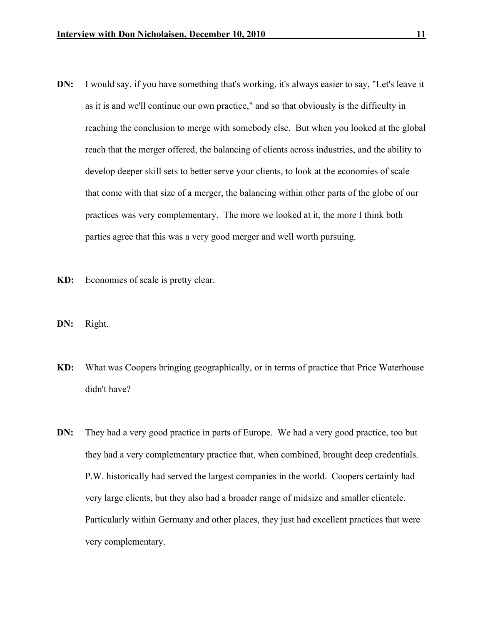- DN: I would say, if you have something that's working, it's always easier to say, "Let's leave it as it is and we'll continue our own practice," and so that obviously is the difficulty in reaching the conclusion to merge with somebody else. But when you looked at the global reach that the merger offered, the balancing of clients across industries, and the ability to develop deeper skill sets to better serve your clients, to look at the economies of scale that come with that size of a merger, the balancing within other parts of the globe of our practices was very complementary. The more we looked at it, the more I think both parties agree that this was a very good merger and well worth pursuing.
- KD: Economies of scale is pretty clear.
- DN: Right.
- KD: What was Coopers bringing geographically, or in terms of practice that Price Waterhouse didn't have?
- DN: They had a very good practice in parts of Europe. We had a very good practice, too but they had a very complementary practice that, when combined, brought deep credentials. P.W. historically had served the largest companies in the world. Coopers certainly had very large clients, but they also had a broader range of midsize and smaller clientele. Particularly within Germany and other places, they just had excellent practices that were very complementary.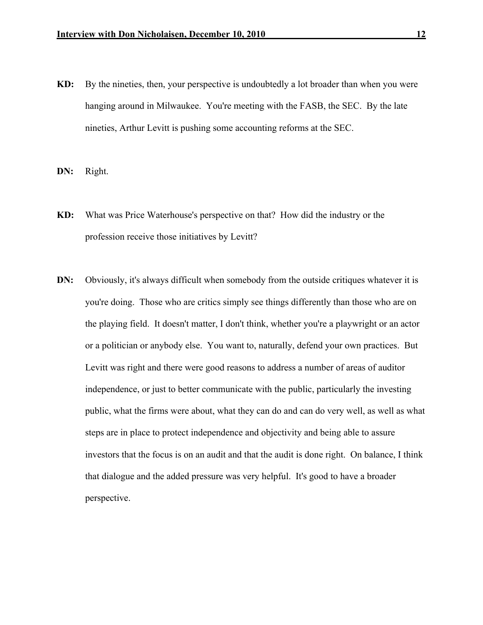KD: By the nineties, then, your perspective is undoubtedly a lot broader than when you were hanging around in Milwaukee. You're meeting with the FASB, the SEC. By the late nineties, Arthur Levitt is pushing some accounting reforms at the SEC.

DN: Right.

- KD: What was Price Waterhouse's perspective on that? How did the industry or the profession receive those initiatives by Levitt?
- DN: Obviously, it's always difficult when somebody from the outside critiques whatever it is you're doing. Those who are critics simply see things differently than those who are on the playing field. It doesn't matter, I don't think, whether you're a playwright or an actor or a politician or anybody else. You want to, naturally, defend your own practices. But Levitt was right and there were good reasons to address a number of areas of auditor independence, or just to better communicate with the public, particularly the investing public, what the firms were about, what they can do and can do very well, as well as what steps are in place to protect independence and objectivity and being able to assure investors that the focus is on an audit and that the audit is done right. On balance, I think that dialogue and the added pressure was very helpful. It's good to have a broader perspective.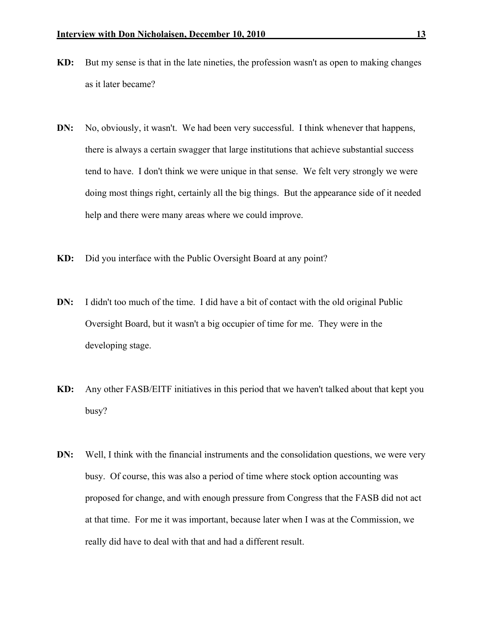- KD: But my sense is that in the late nineties, the profession wasn't as open to making changes as it later became?
- DN: No, obviously, it wasn't. We had been very successful. I think whenever that happens, there is always a certain swagger that large institutions that achieve substantial success tend to have. I don't think we were unique in that sense. We felt very strongly we were doing most things right, certainly all the big things. But the appearance side of it needed help and there were many areas where we could improve.
- KD: Did you interface with the Public Oversight Board at any point?
- DN: I didn't too much of the time. I did have a bit of contact with the old original Public Oversight Board, but it wasn't a big occupier of time for me. They were in the developing stage.
- KD: Any other FASB/EITF initiatives in this period that we haven't talked about that kept you busy?
- DN: Well, I think with the financial instruments and the consolidation questions, we were very busy. Of course, this was also a period of time where stock option accounting was proposed for change, and with enough pressure from Congress that the FASB did not act at that time. For me it was important, because later when I was at the Commission, we really did have to deal with that and had a different result.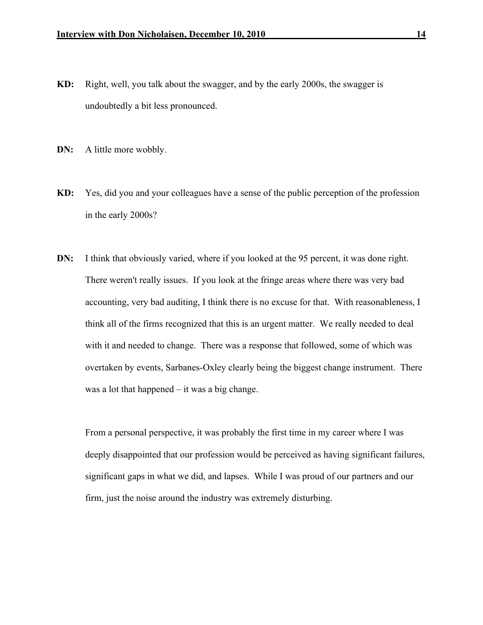- KD: Right, well, you talk about the swagger, and by the early 2000s, the swagger is undoubtedly a bit less pronounced.
- **DN:** A little more wobbly.
- KD: Yes, did you and your colleagues have a sense of the public perception of the profession in the early 2000s?
- DN: I think that obviously varied, where if you looked at the 95 percent, it was done right. There weren't really issues. If you look at the fringe areas where there was very bad accounting, very bad auditing, I think there is no excuse for that. With reasonableness, I think all of the firms recognized that this is an urgent matter. We really needed to deal with it and needed to change. There was a response that followed, some of which was overtaken by events, Sarbanes-Oxley clearly being the biggest change instrument. There was a lot that happened – it was a big change.

From a personal perspective, it was probably the first time in my career where I was deeply disappointed that our profession would be perceived as having significant failures, significant gaps in what we did, and lapses. While I was proud of our partners and our firm, just the noise around the industry was extremely disturbing.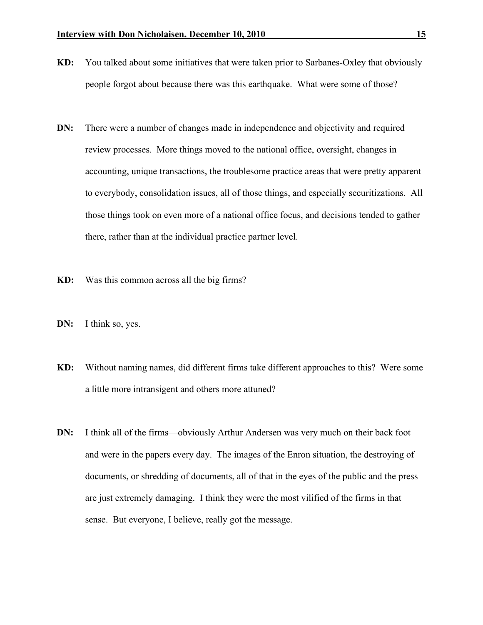- KD: You talked about some initiatives that were taken prior to Sarbanes-Oxley that obviously people forgot about because there was this earthquake. What were some of those?
- DN: There were a number of changes made in independence and objectivity and required review processes. More things moved to the national office, oversight, changes in accounting, unique transactions, the troublesome practice areas that were pretty apparent to everybody, consolidation issues, all of those things, and especially securitizations. All those things took on even more of a national office focus, and decisions tended to gather there, rather than at the individual practice partner level.
- KD: Was this common across all the big firms?
- DN: I think so, yes.
- KD: Without naming names, did different firms take different approaches to this? Were some a little more intransigent and others more attuned?
- DN: I think all of the firms—obviously Arthur Andersen was very much on their back foot and were in the papers every day. The images of the Enron situation, the destroying of documents, or shredding of documents, all of that in the eyes of the public and the press are just extremely damaging. I think they were the most vilified of the firms in that sense. But everyone, I believe, really got the message.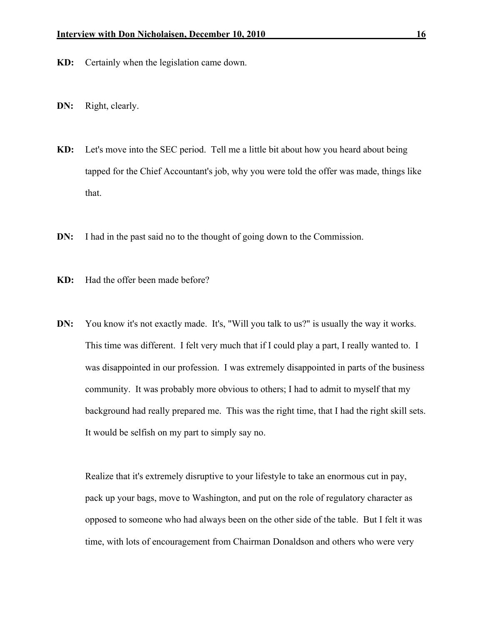- KD: Certainly when the legislation came down.
- DN: Right, clearly.
- KD: Let's move into the SEC period. Tell me a little bit about how you heard about being tapped for the Chief Accountant's job, why you were told the offer was made, things like that.
- DN: I had in the past said no to the thought of going down to the Commission.
- KD: Had the offer been made before?
- DN: You know it's not exactly made. It's, "Will you talk to us?" is usually the way it works. This time was different. I felt very much that if I could play a part, I really wanted to. I was disappointed in our profession. I was extremely disappointed in parts of the business community. It was probably more obvious to others; I had to admit to myself that my background had really prepared me. This was the right time, that I had the right skill sets. It would be selfish on my part to simply say no.

Realize that it's extremely disruptive to your lifestyle to take an enormous cut in pay, pack up your bags, move to Washington, and put on the role of regulatory character as opposed to someone who had always been on the other side of the table. But I felt it was time, with lots of encouragement from Chairman Donaldson and others who were very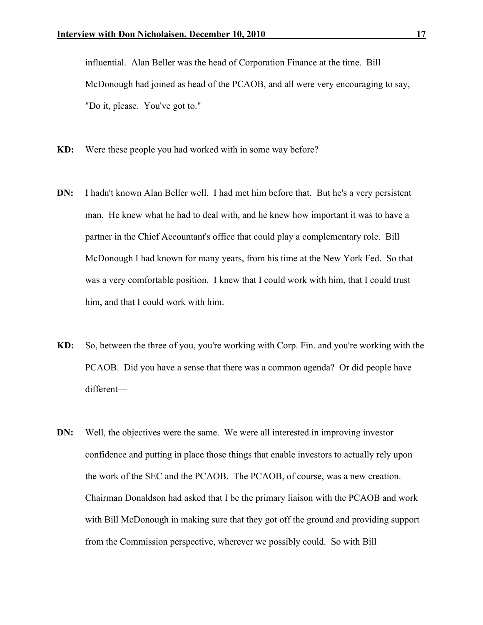influential. Alan Beller was the head of Corporation Finance at the time. Bill McDonough had joined as head of the PCAOB, and all were very encouraging to say, "Do it, please. You've got to."

- KD: Were these people you had worked with in some way before?
- DN: I hadn't known Alan Beller well. I had met him before that. But he's a very persistent man. He knew what he had to deal with, and he knew how important it was to have a partner in the Chief Accountant's office that could play a complementary role. Bill McDonough I had known for many years, from his time at the New York Fed. So that was a very comfortable position. I knew that I could work with him, that I could trust him, and that I could work with him.
- KD: So, between the three of you, you're working with Corp. Fin. and you're working with the PCAOB. Did you have a sense that there was a common agenda? Or did people have different—
- DN: Well, the objectives were the same. We were all interested in improving investor confidence and putting in place those things that enable investors to actually rely upon the work of the SEC and the PCAOB. The PCAOB, of course, was a new creation. Chairman Donaldson had asked that I be the primary liaison with the PCAOB and work with Bill McDonough in making sure that they got off the ground and providing support from the Commission perspective, wherever we possibly could. So with Bill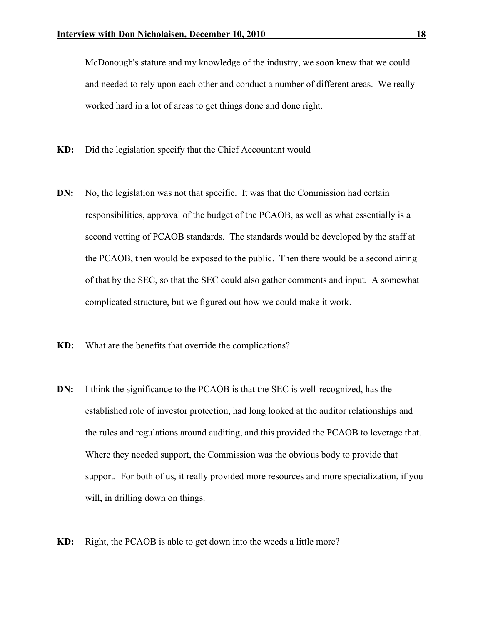McDonough's stature and my knowledge of the industry, we soon knew that we could and needed to rely upon each other and conduct a number of different areas. We really worked hard in a lot of areas to get things done and done right.

- KD: Did the legislation specify that the Chief Accountant would—
- DN: No, the legislation was not that specific. It was that the Commission had certain responsibilities, approval of the budget of the PCAOB, as well as what essentially is a second vetting of PCAOB standards. The standards would be developed by the staff at the PCAOB, then would be exposed to the public. Then there would be a second airing of that by the SEC, so that the SEC could also gather comments and input. A somewhat complicated structure, but we figured out how we could make it work.
- KD: What are the benefits that override the complications?
- DN: I think the significance to the PCAOB is that the SEC is well-recognized, has the established role of investor protection, had long looked at the auditor relationships and the rules and regulations around auditing, and this provided the PCAOB to leverage that. Where they needed support, the Commission was the obvious body to provide that support. For both of us, it really provided more resources and more specialization, if you will, in drilling down on things.
- KD: Right, the PCAOB is able to get down into the weeds a little more?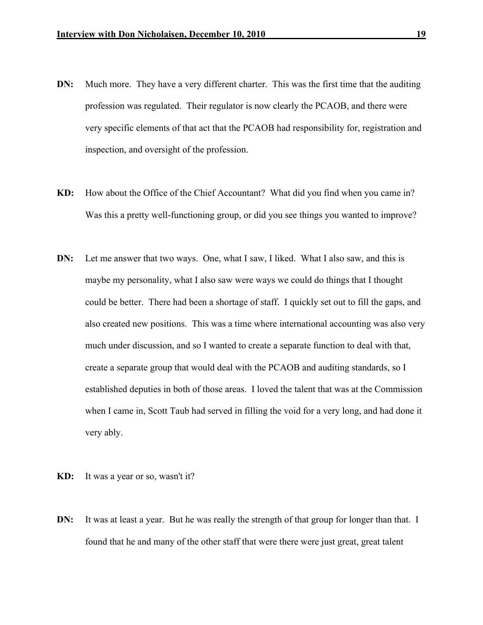- DN: Much more. They have a very different charter. This was the first time that the auditing profession was regulated. Their regulator is now clearly the PCAOB, and there were very specific elements of that act that the PCAOB had responsibility for, registration and inspection, and oversight of the profession.
- KD: How about the Office of the Chief Accountant? What did you find when you came in? Was this a pretty well-functioning group, or did you see things you wanted to improve?
- DN: Let me answer that two ways. One, what I saw, I liked. What I also saw, and this is maybe my personality, what I also saw were ways we could do things that I thought could be better. There had been a shortage of staff. I quickly set out to fill the gaps, and also created new positions. This was a time where international accounting was also very much under discussion, and so I wanted to create a separate function to deal with that, create a separate group that would deal with the PCAOB and auditing standards, so I established deputies in both of those areas. I loved the talent that was at the Commission when I came in, Scott Taub had served in filling the void for a very long, and had done it very ably.
- KD: It was a year or so, wasn't it?
- **DN:** It was at least a year. But he was really the strength of that group for longer than that. I found that he and many of the other staff that were there were just great, great talent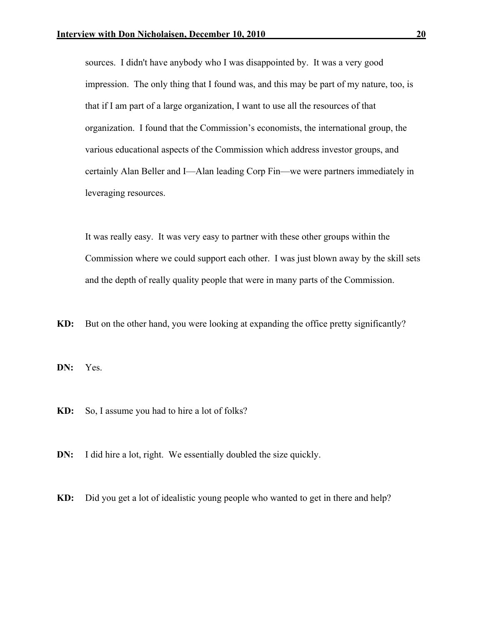sources. I didn't have anybody who I was disappointed by. It was a very good impression. The only thing that I found was, and this may be part of my nature, too, is that if I am part of a large organization, I want to use all the resources of that organization. I found that the Commission's economists, the international group, the various educational aspects of the Commission which address investor groups, and certainly Alan Beller and I—Alan leading Corp Fin—we were partners immediately in leveraging resources.

It was really easy. It was very easy to partner with these other groups within the Commission where we could support each other. I was just blown away by the skill sets and the depth of really quality people that were in many parts of the Commission.

KD: But on the other hand, you were looking at expanding the office pretty significantly?

DN: Yes.

KD: So, I assume you had to hire a lot of folks?

**DN:** I did hire a lot, right. We essentially doubled the size quickly.

KD: Did you get a lot of idealistic young people who wanted to get in there and help?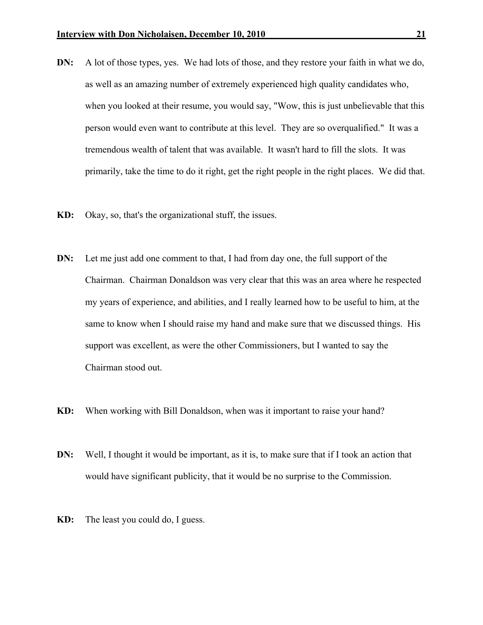- DN: A lot of those types, yes. We had lots of those, and they restore your faith in what we do, as well as an amazing number of extremely experienced high quality candidates who, when you looked at their resume, you would say, "Wow, this is just unbelievable that this person would even want to contribute at this level. They are so overqualified." It was a tremendous wealth of talent that was available. It wasn't hard to fill the slots. It was primarily, take the time to do it right, get the right people in the right places. We did that.
- KD: Okay, so, that's the organizational stuff, the issues.
- DN: Let me just add one comment to that, I had from day one, the full support of the Chairman. Chairman Donaldson was very clear that this was an area where he respected my years of experience, and abilities, and I really learned how to be useful to him, at the same to know when I should raise my hand and make sure that we discussed things. His support was excellent, as were the other Commissioners, but I wanted to say the Chairman stood out.
- KD: When working with Bill Donaldson, when was it important to raise your hand?
- DN: Well, I thought it would be important, as it is, to make sure that if I took an action that would have significant publicity, that it would be no surprise to the Commission.
- KD: The least you could do, I guess.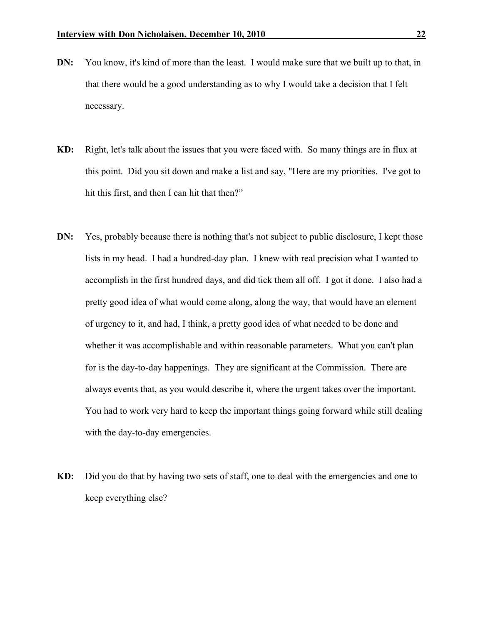- DN: You know, it's kind of more than the least. I would make sure that we built up to that, in that there would be a good understanding as to why I would take a decision that I felt necessary.
- KD: Right, let's talk about the issues that you were faced with. So many things are in flux at this point. Did you sit down and make a list and say, "Here are my priorities. I've got to hit this first, and then I can hit that then?"
- DN: Yes, probably because there is nothing that's not subject to public disclosure, I kept those lists in my head. I had a hundred-day plan. I knew with real precision what I wanted to accomplish in the first hundred days, and did tick them all off. I got it done. I also had a pretty good idea of what would come along, along the way, that would have an element of urgency to it, and had, I think, a pretty good idea of what needed to be done and whether it was accomplishable and within reasonable parameters. What you can't plan for is the day-to-day happenings. They are significant at the Commission. There are always events that, as you would describe it, where the urgent takes over the important. You had to work very hard to keep the important things going forward while still dealing with the day-to-day emergencies.
- KD: Did you do that by having two sets of staff, one to deal with the emergencies and one to keep everything else?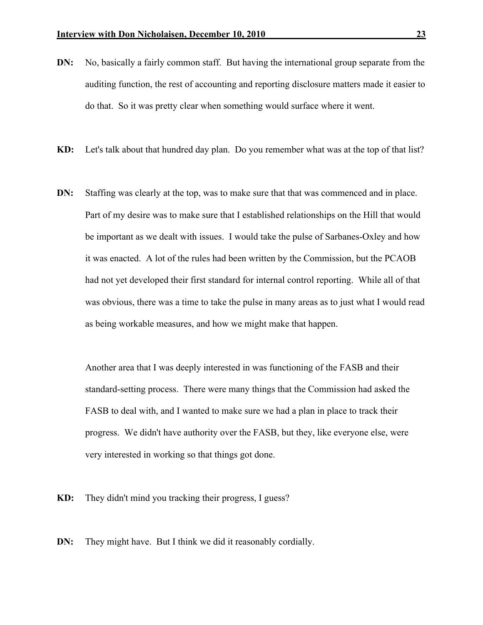- DN: No, basically a fairly common staff. But having the international group separate from the auditing function, the rest of accounting and reporting disclosure matters made it easier to do that. So it was pretty clear when something would surface where it went.
- KD: Let's talk about that hundred day plan. Do you remember what was at the top of that list?
- DN: Staffing was clearly at the top, was to make sure that that was commenced and in place. Part of my desire was to make sure that I established relationships on the Hill that would be important as we dealt with issues. I would take the pulse of Sarbanes-Oxley and how it was enacted. A lot of the rules had been written by the Commission, but the PCAOB had not yet developed their first standard for internal control reporting. While all of that was obvious, there was a time to take the pulse in many areas as to just what I would read as being workable measures, and how we might make that happen.

Another area that I was deeply interested in was functioning of the FASB and their standard-setting process. There were many things that the Commission had asked the FASB to deal with, and I wanted to make sure we had a plan in place to track their progress. We didn't have authority over the FASB, but they, like everyone else, were very interested in working so that things got done.

KD: They didn't mind you tracking their progress, I guess?

DN: They might have. But I think we did it reasonably cordially.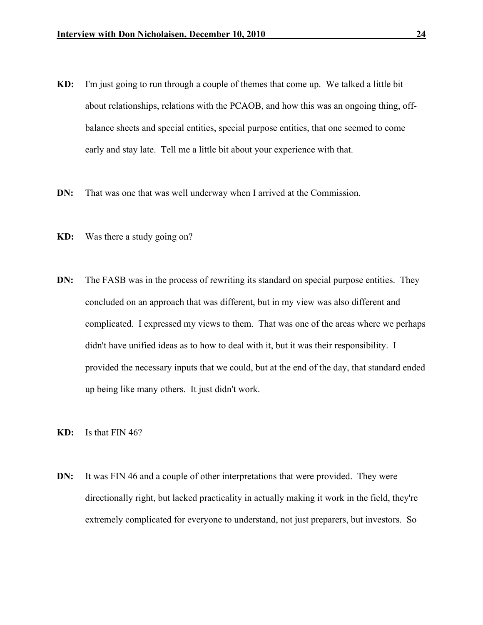- KD: I'm just going to run through a couple of themes that come up. We talked a little bit about relationships, relations with the PCAOB, and how this was an ongoing thing, offbalance sheets and special entities, special purpose entities, that one seemed to come early and stay late. Tell me a little bit about your experience with that.
- **DN:** That was one that was well underway when I arrived at the Commission.
- KD: Was there a study going on?
- DN: The FASB was in the process of rewriting its standard on special purpose entities. They concluded on an approach that was different, but in my view was also different and complicated. I expressed my views to them. That was one of the areas where we perhaps didn't have unified ideas as to how to deal with it, but it was their responsibility. I provided the necessary inputs that we could, but at the end of the day, that standard ended up being like many others. It just didn't work.
- KD: Is that FIN 46?
- DN: It was FIN 46 and a couple of other interpretations that were provided. They were directionally right, but lacked practicality in actually making it work in the field, they're extremely complicated for everyone to understand, not just preparers, but investors. So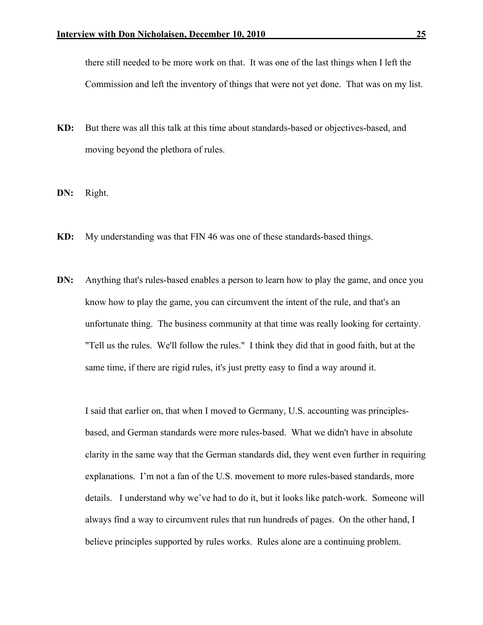there still needed to be more work on that. It was one of the last things when I left the Commission and left the inventory of things that were not yet done. That was on my list.

- KD: But there was all this talk at this time about standards-based or objectives-based, and moving beyond the plethora of rules.
- DN: Right.
- KD: My understanding was that FIN 46 was one of these standards-based things.
- DN: Anything that's rules-based enables a person to learn how to play the game, and once you know how to play the game, you can circumvent the intent of the rule, and that's an unfortunate thing. The business community at that time was really looking for certainty. "Tell us the rules. We'll follow the rules." I think they did that in good faith, but at the same time, if there are rigid rules, it's just pretty easy to find a way around it.

I said that earlier on, that when I moved to Germany, U.S. accounting was principlesbased, and German standards were more rules-based. What we didn't have in absolute clarity in the same way that the German standards did, they went even further in requiring explanations. I'm not a fan of the U.S. movement to more rules-based standards, more details. I understand why we've had to do it, but it looks like patch-work. Someone will always find a way to circumvent rules that run hundreds of pages. On the other hand, I believe principles supported by rules works. Rules alone are a continuing problem.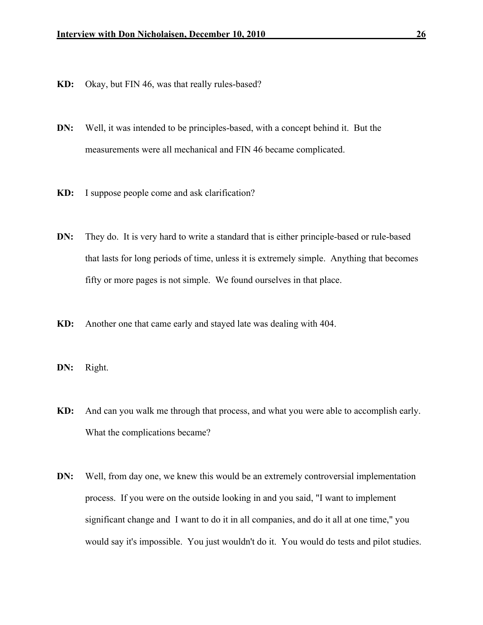- KD: Okay, but FIN 46, was that really rules-based?
- DN: Well, it was intended to be principles-based, with a concept behind it. But the measurements were all mechanical and FIN 46 became complicated.
- KD: I suppose people come and ask clarification?
- DN: They do. It is very hard to write a standard that is either principle-based or rule-based that lasts for long periods of time, unless it is extremely simple. Anything that becomes fifty or more pages is not simple. We found ourselves in that place.
- KD: Another one that came early and stayed late was dealing with 404.
- DN: Right.
- KD: And can you walk me through that process, and what you were able to accomplish early. What the complications became?
- DN: Well, from day one, we knew this would be an extremely controversial implementation process. If you were on the outside looking in and you said, "I want to implement significant change and I want to do it in all companies, and do it all at one time," you would say it's impossible. You just wouldn't do it. You would do tests and pilot studies.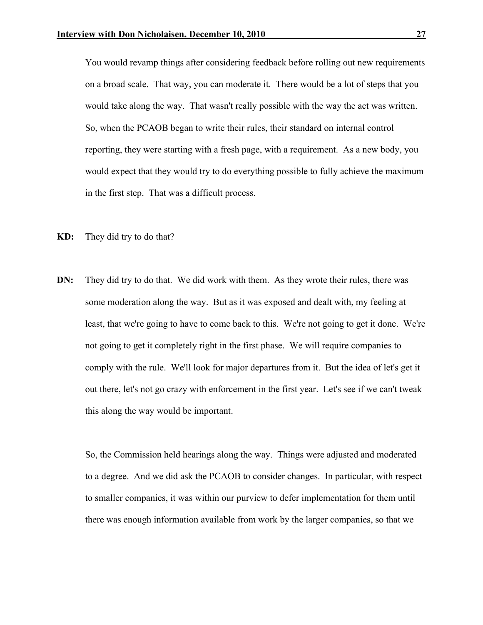You would revamp things after considering feedback before rolling out new requirements on a broad scale. That way, you can moderate it. There would be a lot of steps that you would take along the way. That wasn't really possible with the way the act was written. So, when the PCAOB began to write their rules, their standard on internal control reporting, they were starting with a fresh page, with a requirement. As a new body, you would expect that they would try to do everything possible to fully achieve the maximum in the first step. That was a difficult process.

- KD: They did try to do that?
- DN: They did try to do that. We did work with them. As they wrote their rules, there was some moderation along the way. But as it was exposed and dealt with, my feeling at least, that we're going to have to come back to this. We're not going to get it done. We're not going to get it completely right in the first phase. We will require companies to comply with the rule. We'll look for major departures from it. But the idea of let's get it out there, let's not go crazy with enforcement in the first year. Let's see if we can't tweak this along the way would be important.

So, the Commission held hearings along the way. Things were adjusted and moderated to a degree. And we did ask the PCAOB to consider changes. In particular, with respect to smaller companies, it was within our purview to defer implementation for them until there was enough information available from work by the larger companies, so that we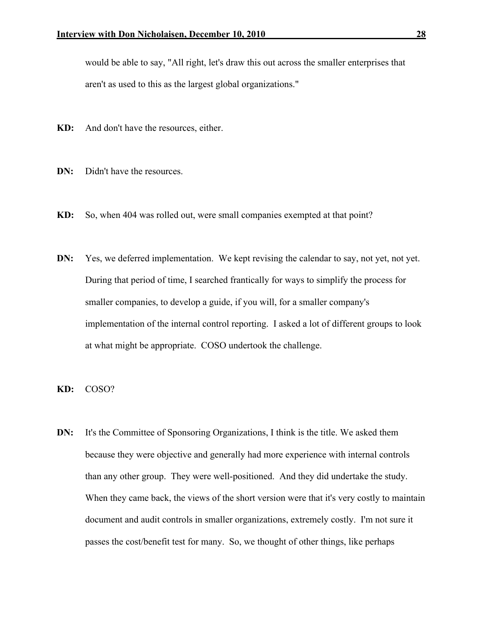would be able to say, "All right, let's draw this out across the smaller enterprises that aren't as used to this as the largest global organizations."

- KD: And don't have the resources, either.
- DN: Didn't have the resources.
- KD: So, when 404 was rolled out, were small companies exempted at that point?
- DN: Yes, we deferred implementation. We kept revising the calendar to say, not yet, not yet. During that period of time, I searched frantically for ways to simplify the process for smaller companies, to develop a guide, if you will, for a smaller company's implementation of the internal control reporting. I asked a lot of different groups to look at what might be appropriate. COSO undertook the challenge.
- KD: COSO?
- DN: It's the Committee of Sponsoring Organizations, I think is the title. We asked them because they were objective and generally had more experience with internal controls than any other group. They were well-positioned. And they did undertake the study. When they came back, the views of the short version were that it's very costly to maintain document and audit controls in smaller organizations, extremely costly. I'm not sure it passes the cost/benefit test for many. So, we thought of other things, like perhaps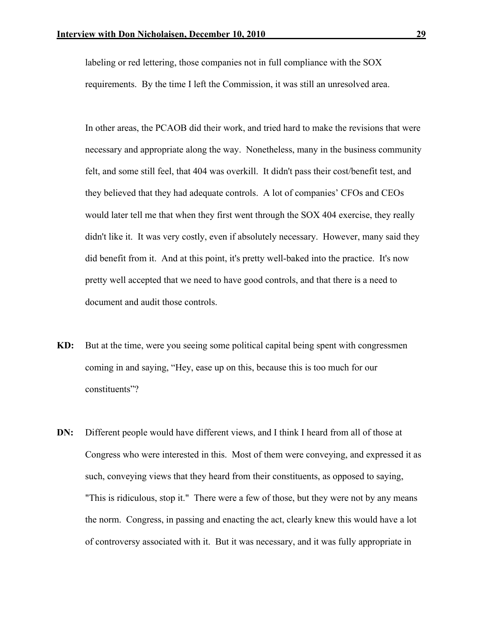labeling or red lettering, those companies not in full compliance with the SOX requirements. By the time I left the Commission, it was still an unresolved area.

In other areas, the PCAOB did their work, and tried hard to make the revisions that were necessary and appropriate along the way. Nonetheless, many in the business community felt, and some still feel, that 404 was overkill. It didn't pass their cost/benefit test, and they believed that they had adequate controls. A lot of companies' CFOs and CEOs would later tell me that when they first went through the SOX 404 exercise, they really didn't like it. It was very costly, even if absolutely necessary. However, many said they did benefit from it. And at this point, it's pretty well-baked into the practice. It's now pretty well accepted that we need to have good controls, and that there is a need to document and audit those controls.

- KD: But at the time, were you seeing some political capital being spent with congressmen coming in and saying, "Hey, ease up on this, because this is too much for our constituents"?
- DN: Different people would have different views, and I think I heard from all of those at Congress who were interested in this. Most of them were conveying, and expressed it as such, conveying views that they heard from their constituents, as opposed to saying, "This is ridiculous, stop it." There were a few of those, but they were not by any means the norm. Congress, in passing and enacting the act, clearly knew this would have a lot of controversy associated with it. But it was necessary, and it was fully appropriate in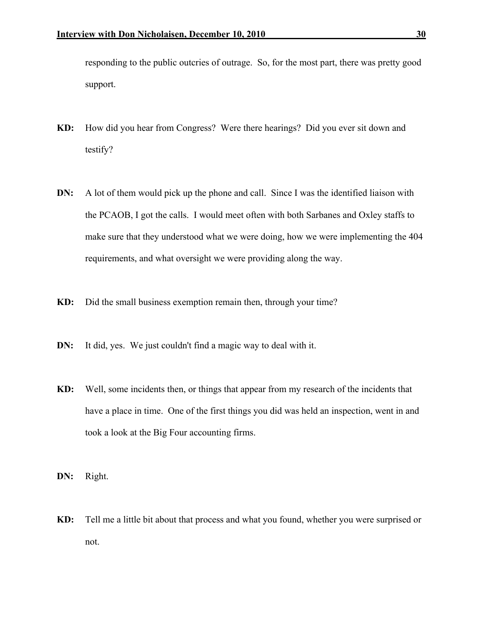responding to the public outcries of outrage. So, for the most part, there was pretty good support.

- KD: How did you hear from Congress? Were there hearings? Did you ever sit down and testify?
- DN: A lot of them would pick up the phone and call. Since I was the identified liaison with the PCAOB, I got the calls. I would meet often with both Sarbanes and Oxley staffs to make sure that they understood what we were doing, how we were implementing the 404 requirements, and what oversight we were providing along the way.
- KD: Did the small business exemption remain then, through your time?
- DN: It did, yes. We just couldn't find a magic way to deal with it.
- KD: Well, some incidents then, or things that appear from my research of the incidents that have a place in time. One of the first things you did was held an inspection, went in and took a look at the Big Four accounting firms.
- DN: Right.
- KD: Tell me a little bit about that process and what you found, whether you were surprised or not.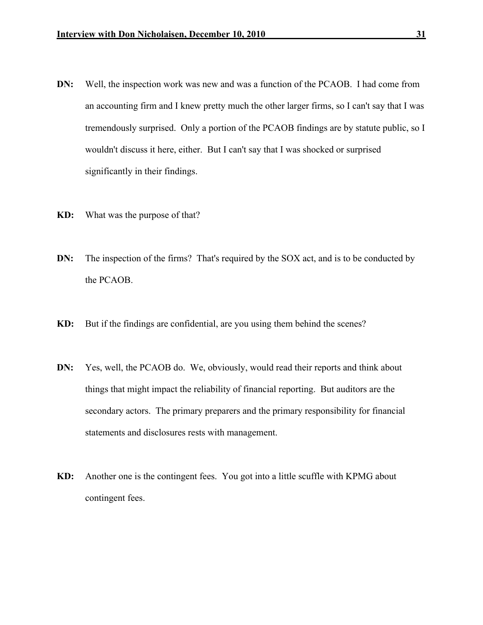- DN: Well, the inspection work was new and was a function of the PCAOB. I had come from an accounting firm and I knew pretty much the other larger firms, so I can't say that I was tremendously surprised. Only a portion of the PCAOB findings are by statute public, so I wouldn't discuss it here, either. But I can't say that I was shocked or surprised significantly in their findings.
- KD: What was the purpose of that?
- DN: The inspection of the firms? That's required by the SOX act, and is to be conducted by the PCAOB.
- KD: But if the findings are confidential, are you using them behind the scenes?
- DN: Yes, well, the PCAOB do. We, obviously, would read their reports and think about things that might impact the reliability of financial reporting. But auditors are the secondary actors. The primary preparers and the primary responsibility for financial statements and disclosures rests with management.
- KD: Another one is the contingent fees. You got into a little scuffle with KPMG about contingent fees.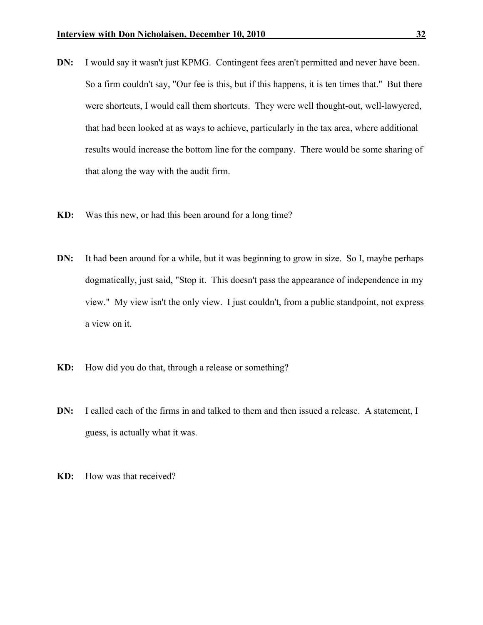- DN: I would say it wasn't just KPMG. Contingent fees aren't permitted and never have been. So a firm couldn't say, "Our fee is this, but if this happens, it is ten times that." But there were shortcuts, I would call them shortcuts. They were well thought-out, well-lawyered, that had been looked at as ways to achieve, particularly in the tax area, where additional results would increase the bottom line for the company. There would be some sharing of that along the way with the audit firm.
- KD: Was this new, or had this been around for a long time?
- DN: It had been around for a while, but it was beginning to grow in size. So I, maybe perhaps dogmatically, just said, "Stop it. This doesn't pass the appearance of independence in my view." My view isn't the only view. I just couldn't, from a public standpoint, not express a view on it.
- KD: How did you do that, through a release or something?
- DN: I called each of the firms in and talked to them and then issued a release. A statement, I guess, is actually what it was.
- KD: How was that received?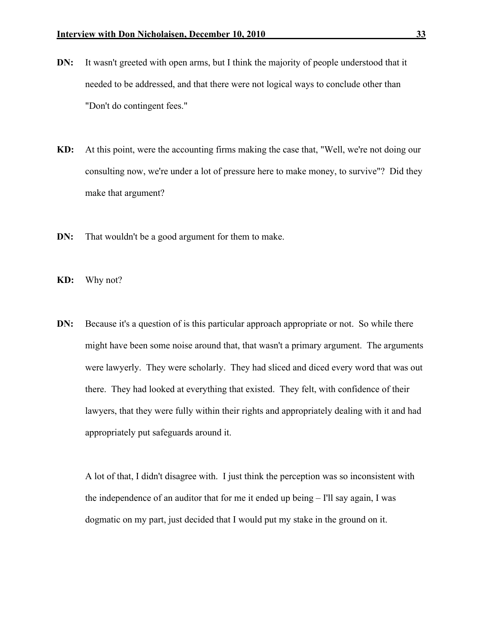- DN: It wasn't greeted with open arms, but I think the majority of people understood that it needed to be addressed, and that there were not logical ways to conclude other than "Don't do contingent fees."
- KD: At this point, were the accounting firms making the case that, "Well, we're not doing our consulting now, we're under a lot of pressure here to make money, to survive"? Did they make that argument?
- DN: That wouldn't be a good argument for them to make.
- KD: Why not?
- DN: Because it's a question of is this particular approach appropriate or not. So while there might have been some noise around that, that wasn't a primary argument. The arguments were lawyerly. They were scholarly. They had sliced and diced every word that was out there. They had looked at everything that existed. They felt, with confidence of their lawyers, that they were fully within their rights and appropriately dealing with it and had appropriately put safeguards around it.

A lot of that, I didn't disagree with. I just think the perception was so inconsistent with the independence of an auditor that for me it ended up being – I'll say again, I was dogmatic on my part, just decided that I would put my stake in the ground on it.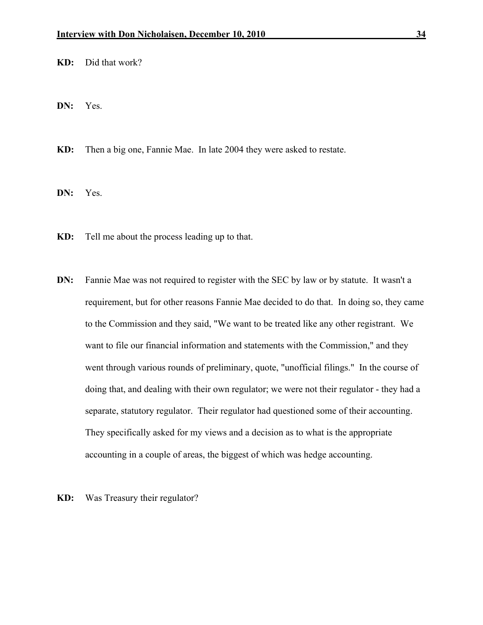KD: Did that work?

DN: Yes.

KD: Then a big one, Fannie Mae. In late 2004 they were asked to restate.

DN: Yes.

- KD: Tell me about the process leading up to that.
- DN: Fannie Mae was not required to register with the SEC by law or by statute. It wasn't a requirement, but for other reasons Fannie Mae decided to do that. In doing so, they came to the Commission and they said, "We want to be treated like any other registrant. We want to file our financial information and statements with the Commission," and they went through various rounds of preliminary, quote, "unofficial filings." In the course of doing that, and dealing with their own regulator; we were not their regulator - they had a separate, statutory regulator. Their regulator had questioned some of their accounting. They specifically asked for my views and a decision as to what is the appropriate accounting in a couple of areas, the biggest of which was hedge accounting.
- KD: Was Treasury their regulator?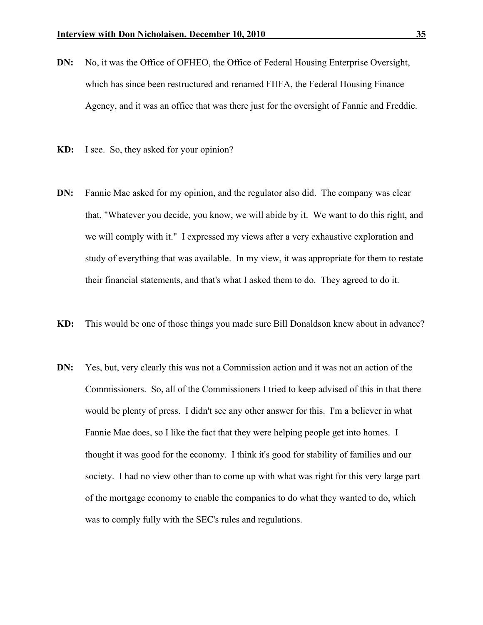- DN: No, it was the Office of OFHEO, the Office of Federal Housing Enterprise Oversight, which has since been restructured and renamed FHFA, the Federal Housing Finance Agency, and it was an office that was there just for the oversight of Fannie and Freddie.
- KD: I see. So, they asked for your opinion?
- DN: Fannie Mae asked for my opinion, and the regulator also did. The company was clear that, "Whatever you decide, you know, we will abide by it. We want to do this right, and we will comply with it." I expressed my views after a very exhaustive exploration and study of everything that was available. In my view, it was appropriate for them to restate their financial statements, and that's what I asked them to do. They agreed to do it.
- KD: This would be one of those things you made sure Bill Donaldson knew about in advance?
- DN: Yes, but, very clearly this was not a Commission action and it was not an action of the Commissioners. So, all of the Commissioners I tried to keep advised of this in that there would be plenty of press. I didn't see any other answer for this. I'm a believer in what Fannie Mae does, so I like the fact that they were helping people get into homes. I thought it was good for the economy. I think it's good for stability of families and our society. I had no view other than to come up with what was right for this very large part of the mortgage economy to enable the companies to do what they wanted to do, which was to comply fully with the SEC's rules and regulations.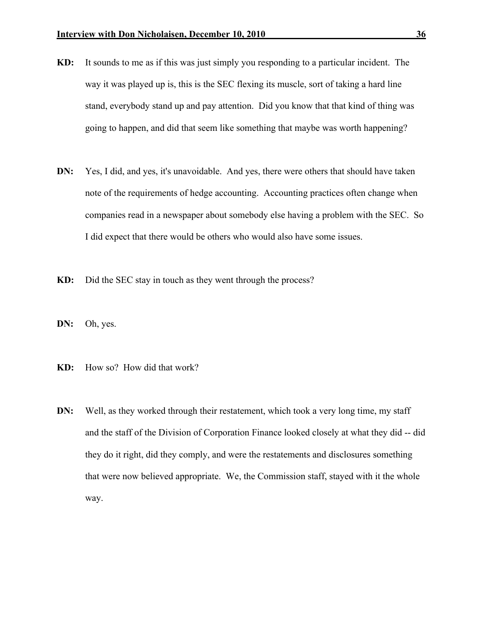- KD: It sounds to me as if this was just simply you responding to a particular incident. The way it was played up is, this is the SEC flexing its muscle, sort of taking a hard line stand, everybody stand up and pay attention. Did you know that that kind of thing was going to happen, and did that seem like something that maybe was worth happening?
- DN: Yes, I did, and yes, it's unavoidable. And yes, there were others that should have taken note of the requirements of hedge accounting. Accounting practices often change when companies read in a newspaper about somebody else having a problem with the SEC. So I did expect that there would be others who would also have some issues.
- KD: Did the SEC stay in touch as they went through the process?
- DN: Oh, yes.
- KD: How so? How did that work?
- **DN:** Well, as they worked through their restatement, which took a very long time, my staff and the staff of the Division of Corporation Finance looked closely at what they did -- did they do it right, did they comply, and were the restatements and disclosures something that were now believed appropriate. We, the Commission staff, stayed with it the whole way.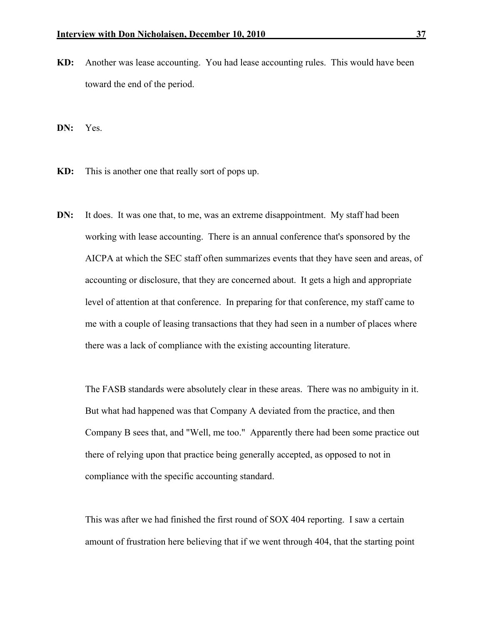KD: Another was lease accounting. You had lease accounting rules. This would have been toward the end of the period.

DN: Yes.

- KD: This is another one that really sort of pops up.
- DN: It does. It was one that, to me, was an extreme disappointment. My staff had been working with lease accounting. There is an annual conference that's sponsored by the AICPA at which the SEC staff often summarizes events that they have seen and areas, of accounting or disclosure, that they are concerned about. It gets a high and appropriate level of attention at that conference. In preparing for that conference, my staff came to me with a couple of leasing transactions that they had seen in a number of places where there was a lack of compliance with the existing accounting literature.

The FASB standards were absolutely clear in these areas. There was no ambiguity in it. But what had happened was that Company A deviated from the practice, and then Company B sees that, and "Well, me too." Apparently there had been some practice out there of relying upon that practice being generally accepted, as opposed to not in compliance with the specific accounting standard.

This was after we had finished the first round of SOX 404 reporting. I saw a certain amount of frustration here believing that if we went through 404, that the starting point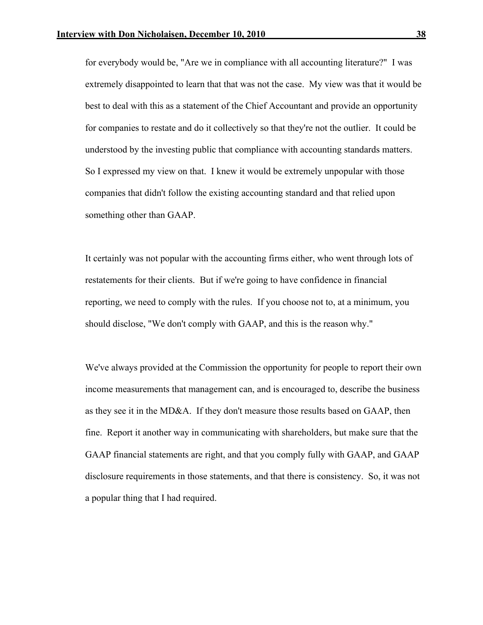for everybody would be, "Are we in compliance with all accounting literature?" I was extremely disappointed to learn that that was not the case. My view was that it would be best to deal with this as a statement of the Chief Accountant and provide an opportunity for companies to restate and do it collectively so that they're not the outlier. It could be understood by the investing public that compliance with accounting standards matters. So I expressed my view on that. I knew it would be extremely unpopular with those companies that didn't follow the existing accounting standard and that relied upon something other than GAAP.

It certainly was not popular with the accounting firms either, who went through lots of restatements for their clients. But if we're going to have confidence in financial reporting, we need to comply with the rules. If you choose not to, at a minimum, you should disclose, "We don't comply with GAAP, and this is the reason why."

We've always provided at the Commission the opportunity for people to report their own income measurements that management can, and is encouraged to, describe the business as they see it in the MD&A. If they don't measure those results based on GAAP, then fine. Report it another way in communicating with shareholders, but make sure that the GAAP financial statements are right, and that you comply fully with GAAP, and GAAP disclosure requirements in those statements, and that there is consistency. So, it was not a popular thing that I had required.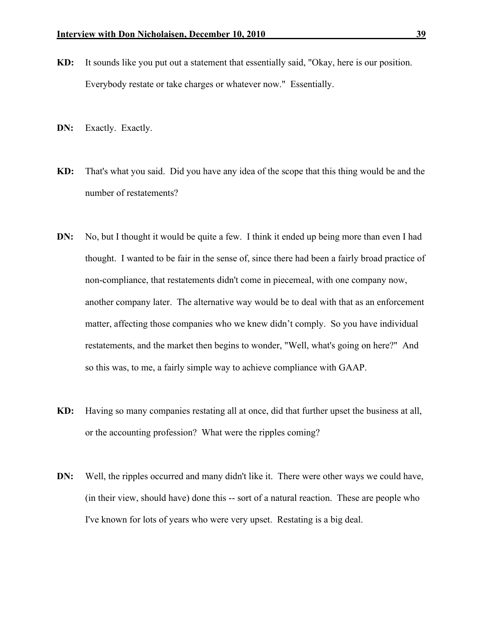- KD: It sounds like you put out a statement that essentially said, "Okay, here is our position. Everybody restate or take charges or whatever now." Essentially.
- DN: Exactly. Exactly.
- KD: That's what you said. Did you have any idea of the scope that this thing would be and the number of restatements?
- DN: No, but I thought it would be quite a few. I think it ended up being more than even I had thought. I wanted to be fair in the sense of, since there had been a fairly broad practice of non-compliance, that restatements didn't come in piecemeal, with one company now, another company later. The alternative way would be to deal with that as an enforcement matter, affecting those companies who we knew didn't comply. So you have individual restatements, and the market then begins to wonder, "Well, what's going on here?" And so this was, to me, a fairly simple way to achieve compliance with GAAP.
- KD: Having so many companies restating all at once, did that further upset the business at all, or the accounting profession? What were the ripples coming?
- DN: Well, the ripples occurred and many didn't like it. There were other ways we could have, (in their view, should have) done this -- sort of a natural reaction. These are people who I've known for lots of years who were very upset. Restating is a big deal.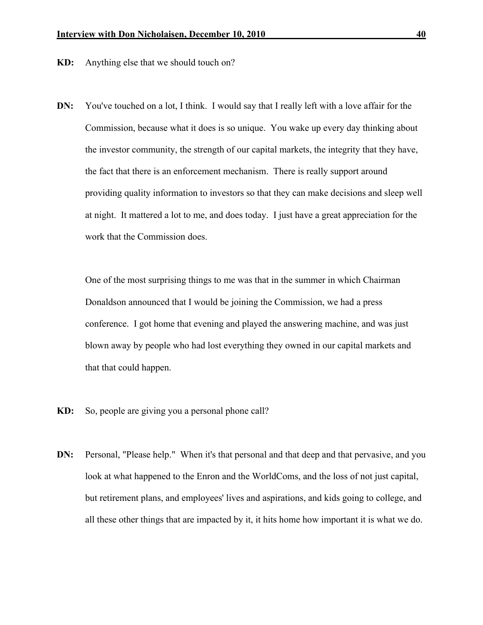- KD: Anything else that we should touch on?
- DN: You've touched on a lot, I think. I would say that I really left with a love affair for the Commission, because what it does is so unique. You wake up every day thinking about the investor community, the strength of our capital markets, the integrity that they have, the fact that there is an enforcement mechanism. There is really support around providing quality information to investors so that they can make decisions and sleep well at night. It mattered a lot to me, and does today. I just have a great appreciation for the work that the Commission does.

One of the most surprising things to me was that in the summer in which Chairman Donaldson announced that I would be joining the Commission, we had a press conference. I got home that evening and played the answering machine, and was just blown away by people who had lost everything they owned in our capital markets and that that could happen.

- KD: So, people are giving you a personal phone call?
- DN: Personal, "Please help." When it's that personal and that deep and that pervasive, and you look at what happened to the Enron and the WorldComs, and the loss of not just capital, but retirement plans, and employees' lives and aspirations, and kids going to college, and all these other things that are impacted by it, it hits home how important it is what we do.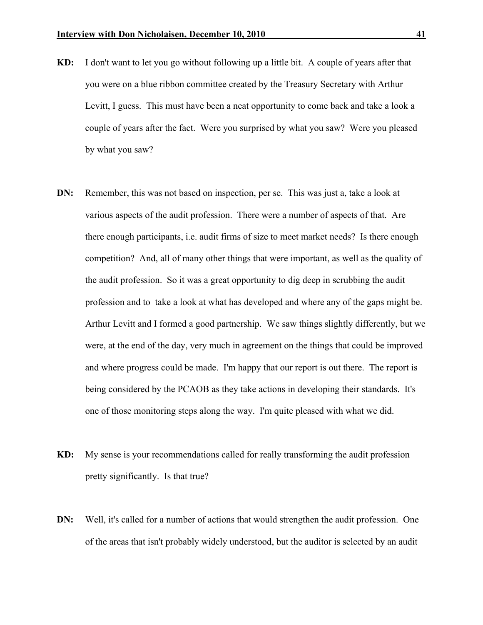- KD: I don't want to let you go without following up a little bit. A couple of years after that you were on a blue ribbon committee created by the Treasury Secretary with Arthur Levitt, I guess. This must have been a neat opportunity to come back and take a look a couple of years after the fact. Were you surprised by what you saw? Were you pleased by what you saw?
- DN: Remember, this was not based on inspection, per se. This was just a, take a look at various aspects of the audit profession. There were a number of aspects of that. Are there enough participants, i.e. audit firms of size to meet market needs? Is there enough competition? And, all of many other things that were important, as well as the quality of the audit profession. So it was a great opportunity to dig deep in scrubbing the audit profession and to take a look at what has developed and where any of the gaps might be. Arthur Levitt and I formed a good partnership. We saw things slightly differently, but we were, at the end of the day, very much in agreement on the things that could be improved and where progress could be made. I'm happy that our report is out there. The report is being considered by the PCAOB as they take actions in developing their standards. It's one of those monitoring steps along the way. I'm quite pleased with what we did.
- KD: My sense is your recommendations called for really transforming the audit profession pretty significantly. Is that true?
- DN: Well, it's called for a number of actions that would strengthen the audit profession. One of the areas that isn't probably widely understood, but the auditor is selected by an audit